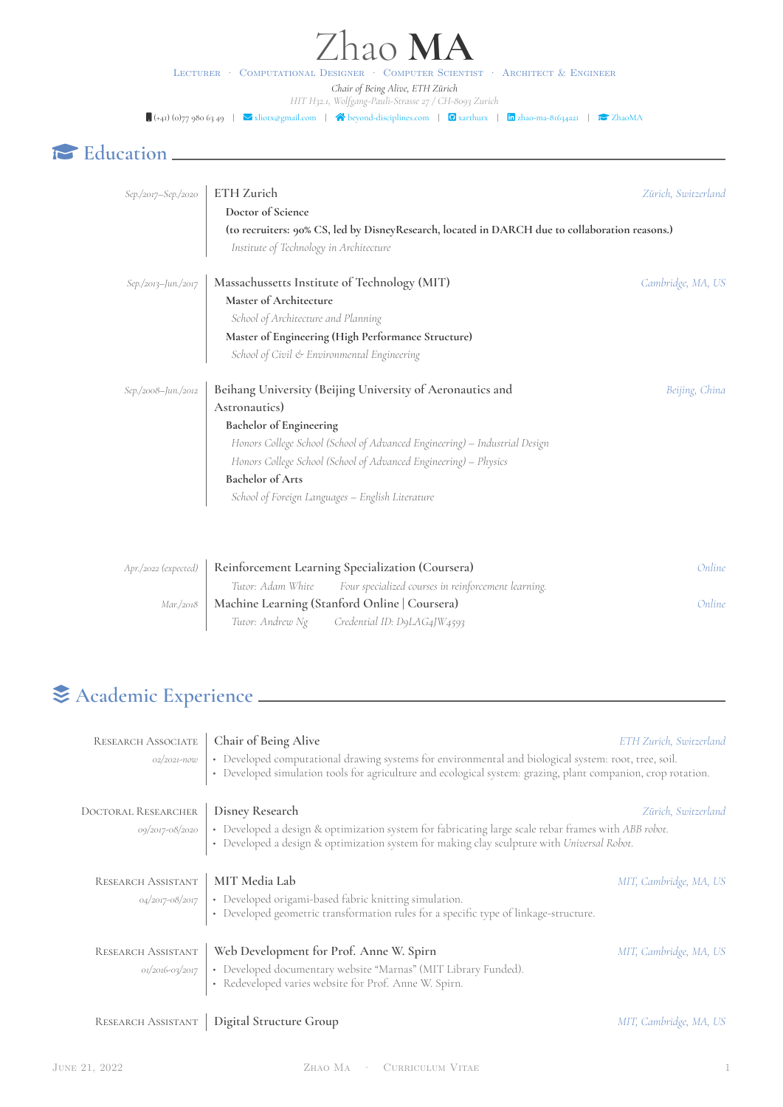# hao **MA**

Lecturer · Computational Designer · Computer Scientist · Architect & Engineer *Chair of Being Alive, ETH Zürich HIT H32.1, Wolfgang-Pauli-Strasse 27 / CH-8093 Zurich*

 $\Box$  (+41) (0)77 980 63 49  $\Box$  [xliotx@gmail.com](mailto:xliotx@gmail.com) |  $\bigtriangleup$  [beyond-disciplines.com](http://beyond-disciplines.com) |  $\Box$  [xarthurx](https://github.com/xarthurx) |  $\Box$  ahao-ma-81634a21 |  $\bigtriangleup$  [ZhaoMA](https://scholar.google.com/citations?user=0rzTEKEAAAAJ)

#### œ **Education**

| $Sep./2017 - Sep./2020$ | ETH Zurich<br>Doctor of Science                                                                                                           | Zürich, Switzerland |
|-------------------------|-------------------------------------------------------------------------------------------------------------------------------------------|---------------------|
|                         | (to recruiters: 90% CS, led by DisneyResearch, located in DARCH due to collaboration reasons.)<br>Institute of Technology in Architecture |                     |
| Sep./2013-Jun./2017     | Massachussetts Institute of Technology (MIT)                                                                                              | Cambridge, MA, US   |
|                         | Master of Architecture                                                                                                                    |                     |
|                         | School of Architecture and Planning                                                                                                       |                     |
|                         | Master of Engineering (High Performance Structure)                                                                                        |                     |
|                         | School of Civil & Environmental Engineering                                                                                               |                     |
| Sep./2008-Jun./2012     | Beihang University (Beijing University of Aeronautics and                                                                                 | Beijing, China      |
|                         | Astronautics)                                                                                                                             |                     |
|                         | <b>Bachelor</b> of Engineering                                                                                                            |                     |
|                         | Honors College School (School of Advanced Engineering) - Industrial Design                                                                |                     |
|                         | Honors College School (School of Advanced Engineering) - Physics                                                                          |                     |
|                         | <b>Bachelor</b> of Arts                                                                                                                   |                     |
|                         | School of Foreign Languages - English Literature                                                                                          |                     |
|                         |                                                                                                                                           |                     |
|                         |                                                                                                                                           |                     |
| Apr./2022 (expected)    | Reinforcement Learning Specialization (Coursera)                                                                                          | Online              |
|                         | Tutor: Adam White<br>Four specialized courses in reinforcement learning.                                                                  |                     |
| Mar./2018               | Machine Learning (Stanford Online   Coursera)                                                                                             | Online              |
|                         | Tutor: Andrew Ng Credential ID: D9LAG4JW4593                                                                                              |                     |

### ǣ **Academic Experience**

| <b>RESEARCH ASSOCIATE</b>  | Chair of Being Alive                                                                                                                                                                                                 | ETH Zurich, Switzerland |
|----------------------------|----------------------------------------------------------------------------------------------------------------------------------------------------------------------------------------------------------------------|-------------------------|
| 02/2021-now                | • Developed computational drawing systems for environmental and biological system: root, tree, soil.<br>• Developed simulation tools for agriculture and ecological system: grazing, plant companion, crop rotation. |                         |
| <b>DOCTORAL RESEARCHER</b> | Disney Research                                                                                                                                                                                                      | Zürich, Switzerland     |
| 09/2017-08/2020            | • Developed a design & optimization system for fabricating large scale rebar frames with ABB robot.<br>• Developed a design & optimization system for making clay sculpture with Universal Robot.                    |                         |
| RESEARCH ASSISTANT         | MIT Media Lab                                                                                                                                                                                                        | MIT, Cambridge, MA, US  |
| 04/2017-08/2017            | • Developed origami-based fabric knitting simulation.<br>• Developed geometric transformation rules for a specific type of linkage-structure.                                                                        |                         |
| RESEARCH ASSISTANT         | Web Development for Prof. Anne W. Spirn                                                                                                                                                                              | MIT, Cambridge, MA, US  |
| 01/2016-03/2017            | • Developed documentary website "Marnas" (MIT Library Funded).<br>• Redeveloped varies website for Prof. Anne W. Spirn.                                                                                              |                         |
| RESEARCH ASSISTANT         | Digital Structure Group                                                                                                                                                                                              | MIT, Cambridge, MA, US  |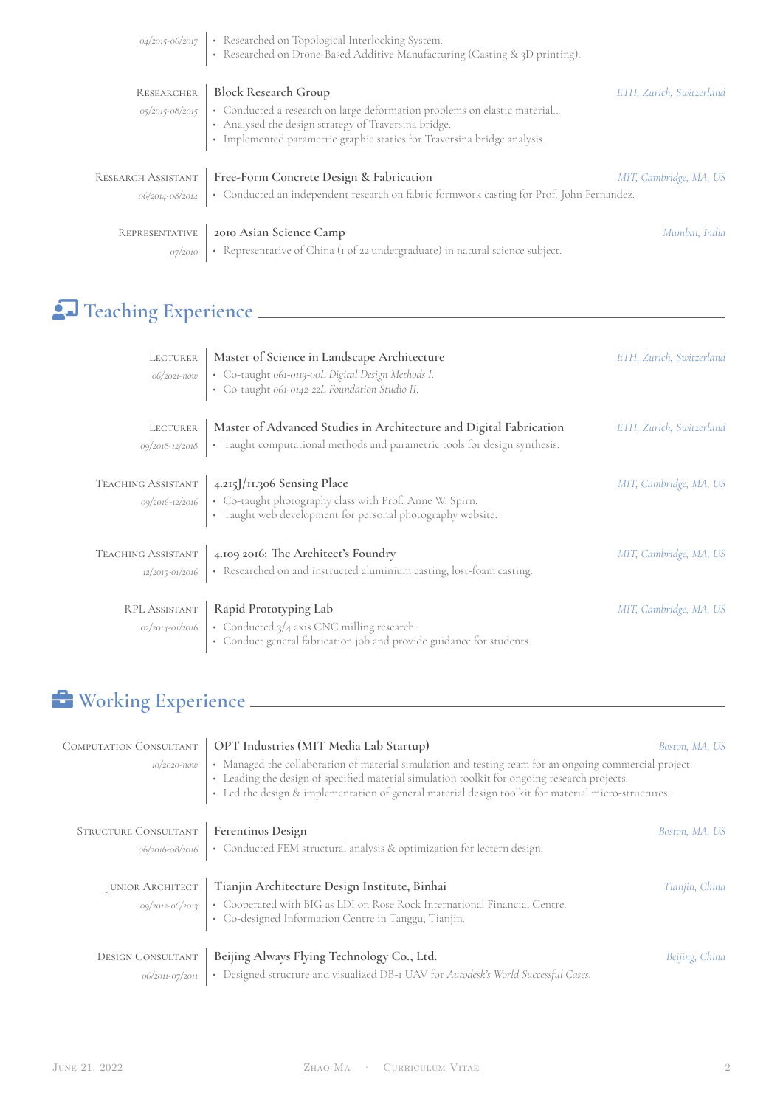|                | 04/2015-06/2017   • Researched on Topological Interlocking System.<br>• Researched on Drone-Based Additive Manufacturing (Casting & 3D printing).                                                                              |                          |
|----------------|--------------------------------------------------------------------------------------------------------------------------------------------------------------------------------------------------------------------------------|--------------------------|
| RESEARCHER     | <b>Block Research Group</b>                                                                                                                                                                                                    | ETH, Zurich, Switzerland |
|                | 05/2015-08/2015   • Conducted a research on large deformation problems on elastic material<br>• Analysed the design strategy of Traversina bridge.<br>• Implemented parametric graphic statics for Traversina bridge analysis. |                          |
|                | RESEARCH ASSISTANT   Free-Form Concrete Design & Fabrication                                                                                                                                                                   | MIT, Cambridge, MA, US   |
|                | 06/2014-08/2014   • Conducted an independent research on fabric formwork casting for Prof. John Fernandez.                                                                                                                     |                          |
| REPRESENTATIVE | 2010 Asian Science Camp                                                                                                                                                                                                        | Mumbai, India            |
| 07/2010        | • Representative of China (1 of 22 undergraduate) in natural science subject.                                                                                                                                                  |                          |

### ʄ **Teaching Experience**

| LECTURER<br>06/2021-now                     | Master of Science in Landscape Architecture<br>· Co-taught 061-0113-00L Digital Design Methods I.<br>· Co-taught 061-0142-22L Foundation Studio II.                    | ETH, Zurich, Switzerland |
|---------------------------------------------|------------------------------------------------------------------------------------------------------------------------------------------------------------------------|--------------------------|
| LECTURER<br>09/2018-12/2018                 | Master of Advanced Studies in Architecture and Digital Fabrication<br>• Taught computational methods and parametric tools for design synthesis.                        | ETH, Zurich, Switzerland |
| <b>TEACHING ASSISTANT</b>                   | 4.215J/11.306 Sensing Place<br>09/2016-12/2016   • Co-taught photography class with Prof. Anne W. Spirn.<br>• Taught web development for personal photography website. | MIT, Cambridge, MA, US   |
| <b>TEACHING ASSISTANT</b>                   | 4.109 2016: The Architect's Foundry<br>12/2015-01/2016   • Researched on and instructed aluminium casting, lost-foam casting.                                          | MIT, Cambridge, MA, US   |
| <b>RPL ASSISTANT</b><br>$02/2014 - 01/2016$ | Rapid Prototyping Lab<br>• Conducted $3/4$ axis CNC milling research.<br>• Conduct general fabrication job and provide guidance for students.                          | MIT, Cambridge, MA, US   |

### É **Working Experience**

| OPT Industries (MIT Media Lab Startup)<br>COMPUTATION CONSULTANT<br>• Managed the collaboration of material simulation and testing team for an ongoing commercial project.<br>10/2020-now<br>• Leading the design of specified material simulation toolkit for ongoing research projects.<br>• Led the design & implementation of general material design toolkit for material micro-structures. |                                                                                                                                   | Boston, MA, US |
|--------------------------------------------------------------------------------------------------------------------------------------------------------------------------------------------------------------------------------------------------------------------------------------------------------------------------------------------------------------------------------------------------|-----------------------------------------------------------------------------------------------------------------------------------|----------------|
| STRUCTURE CONSULTANT                                                                                                                                                                                                                                                                                                                                                                             | Ferentinos Design                                                                                                                 | Boston, MA, US |
|                                                                                                                                                                                                                                                                                                                                                                                                  | 06/2016-08/2016   • Conducted FEM structural analysis & optimization for lectern design.                                          |                |
| <b>JUNIOR ARCHITECT</b>                                                                                                                                                                                                                                                                                                                                                                          | Tianjin Architecture Design Institute, Binhai<br>• Cooperated with BIG as LDI on Rose Rock International Financial Centre.        | Tianjin, China |
| 09/2012-06/2013                                                                                                                                                                                                                                                                                                                                                                                  | • Co-designed Information Centre in Tanggu, Tianjin.                                                                              |                |
| <b>DESIGN CONSULTANT</b><br>06/2011-07/2011                                                                                                                                                                                                                                                                                                                                                      | Beijing Always Flying Technology Co., Ltd.<br>• Designed structure and visualized DB-I UAV for Autodesk's World Successful Cases. | Beijing, China |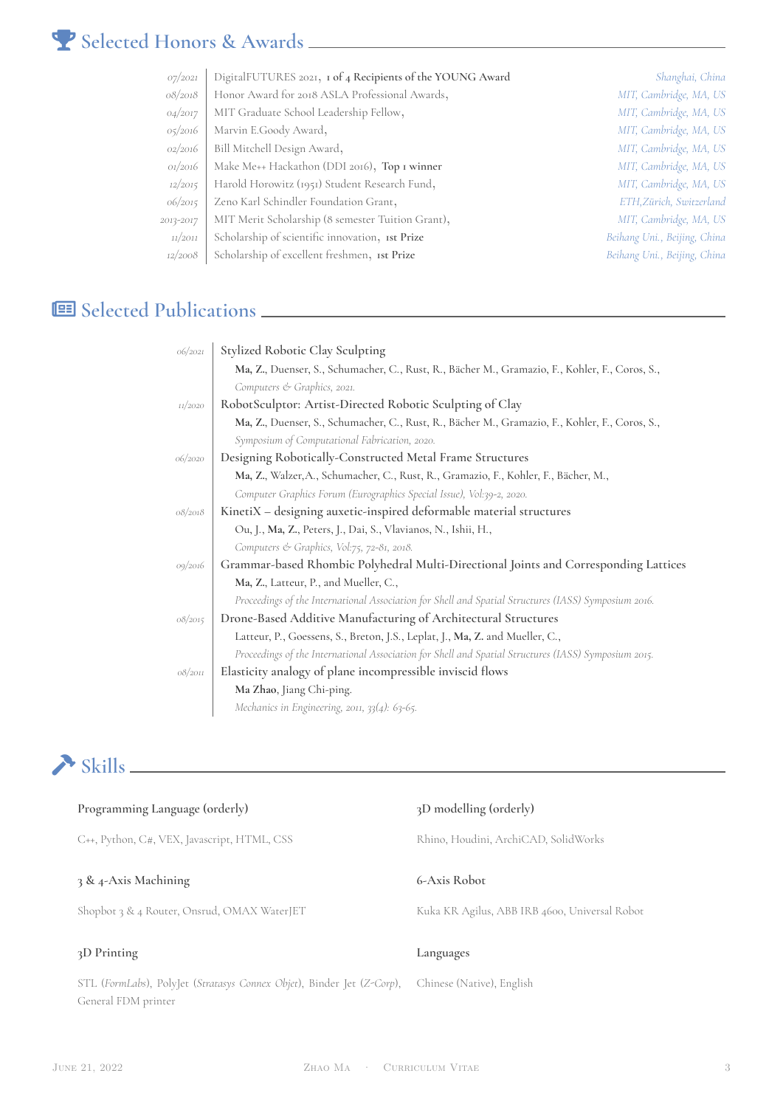#### ² **Selected Honors & Awards**

| O7/2O21   | DigitalFUTURES 2021, 1 of 4 Recipients of the YOUNG Award | Shanghai, China              |
|-----------|-----------------------------------------------------------|------------------------------|
| 08/2018   | Honor Award for 2018 ASLA Professional Awards,            | MIT, Cambridge, MA, US       |
| 04/2017   | MIT Graduate School Leadership Fellow,                    | MIT, Cambridge, MA, US       |
| 05/2016   | Marvin E.Goody Award,                                     | MIT, Cambridge, MA, US       |
| 02/2016   | Bill Mitchell Design Award,                               | MIT, Cambridge, MA, US       |
| 01/2016   | Make Me++ Hackathon (DDI 2016), Top I winner              | MIT, Cambridge, MA, US       |
| 12/2015   | Harold Horowitz (1951) Student Research Fund,             | MIT, Cambridge, MA, US       |
| 06/2015   | Zeno Karl Schindler Foundation Grant,                     | ETH, Zürich, Switzerland     |
| 2013-2017 | MIT Merit Scholarship (8 semester Tuition Grant),         | MIT, Cambridge, MA, US       |
| 11/2011   | Scholarship of scientific innovation, 1st Prize           | Beihang Uni., Beijing, China |
| 12/2008   | Scholarship of excellent freshmen, 1st Prize              | Beihang Uni., Beijing, China |
|           |                                                           |                              |

#### **Selected Publications**

| 06/2021 | Stylized Robotic Clay Sculpting                                                                      |
|---------|------------------------------------------------------------------------------------------------------|
|         | Ma, Z., Duenser, S., Schumacher, C., Rust, R., Bächer M., Gramazio, F., Kohler, F., Coros, S.,       |
|         | Computers & Graphics, 2021.                                                                          |
| 11/2020 | RobotSculptor: Artist-Directed Robotic Sculpting of Clay                                             |
|         | Ma, Z., Duenser, S., Schumacher, C., Rust, R., Bächer M., Gramazio, F., Kohler, F., Coros, S.,       |
|         | Symposium of Computational Fabrication, 2020.                                                        |
| 06/2020 | Designing Robotically-Constructed Metal Frame Structures                                             |
|         | Ma, Z., Walzer, A., Schumacher, C., Rust, R., Gramazio, F., Kohler, F., Bächer, M.,                  |
|         | Computer Graphics Forum (Eurographics Special Issue), Vol:39-2, 2020.                                |
| 08/2018 | KinetiX - designing auxetic-inspired deformable material structures                                  |
|         | Ou, J., Ma, Z., Peters, J., Dai, S., Vlavianos, N., Ishii, H.,                                       |
|         | Computers & Graphics, Vol:75, 72-81, 2018.                                                           |
| 09/2016 | Grammar-based Rhombic Polyhedral Multi-Directional Joints and Corresponding Lattices                 |
|         | Ma, Z., Latteur, P., and Mueller, C.,                                                                |
|         | Proceedings of the International Association for Shell and Spatial Structures (IASS) Symposium 2016. |
| 08/2015 | Drone-Based Additive Manufacturing of Architectural Structures                                       |
|         | Latteur, P., Goessens, S., Breton, J.S., Leplat, J., Ma, Z. and Mueller, C.,                         |
|         | Proceedings of the International Association for Shell and Spatial Structures (IASS) Symposium 2015. |
| 08/2011 | Elasticity analogy of plane incompressible inviscid flows                                            |
|         | Ma Zhao, Jiang Chi-ping.                                                                             |
|         | Mechanics in Engineering, 2011, 33(4): 63-65.                                                        |

## ΄ **Skills**

| Programming Language (orderly)                                                                | 3D modelling (orderly)                        |
|-----------------------------------------------------------------------------------------------|-----------------------------------------------|
| C++, Python, C#, VEX, Javascript, HTML, CSS                                                   | Rhino, Houdini, ArchiCAD, SolidWorks          |
|                                                                                               |                                               |
| 3 & 4-Axis Machining                                                                          | 6-Axis Robot                                  |
| Shopbot 3 & 4 Router, Onsrud, OMAX WaterJET                                                   | Kuka KR Agilus, ABB IRB 4600, Universal Robot |
|                                                                                               |                                               |
| 3D Printing                                                                                   | Languages                                     |
| STL (FormLabs), PolyJet (Stratasys Connex Objet), Binder Jet (Z-Corp),<br>General FDM printer | Chinese (Native), English                     |